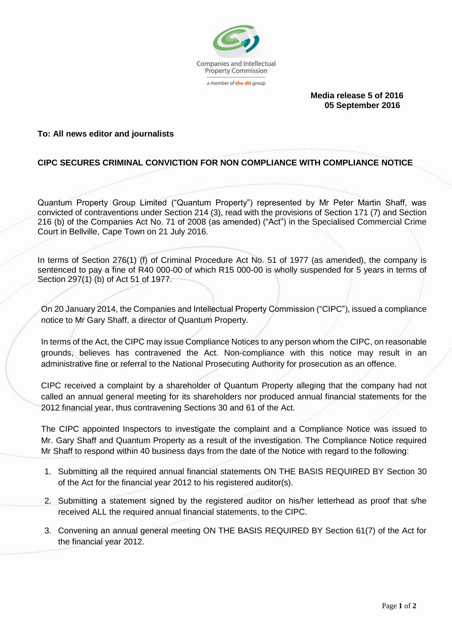

 **Media release 5 of 2016 05 September 2016**

## **To: All news editor and journalists**

## **CIPC SECURES CRIMINAL CONVICTION FOR NON COMPLIANCE WITH COMPLIANCE NOTICE**

Quantum Property Group Limited ("Quantum Property") represented by Mr Peter Martin Shaff, was convicted of contraventions under Section 214 (3), read with the provisions of Section 171 (7) and Section 216 (b) of the Companies Act No. 71 of 2008 (as amended) ("Act") in the Specialised Commercial Crime Court in Bellville, Cape Town on 21 July 2016.

In terms of Section 276(1) (f) of Criminal Procedure Act No. 51 of 1977 (as amended), the company is sentenced to pay a fine of R40 000-00 of which R15 000-00 is wholly suspended for 5 years in terms of Section 297(1) (b) of Act 51 of 1977.

On 20 January 2014, the Companies and Intellectual Property Commission ("CIPC"), issued a compliance notice to Mr Gary Shaff, a director of Quantum Property.

In terms of the Act, the CIPC may issue Compliance Notices to any person whom the CIPC, on reasonable grounds, believes has contravened the Act. Non-compliance with this notice may result in an administrative fine or referral to the National Prosecuting Authority for prosecution as an offence.

CIPC received a complaint by a shareholder of Quantum Property alleging that the company had not called an annual general meeting for its shareholders nor produced annual financial statements for the 2012 financial year, thus contravening Sections 30 and 61 of the Act.

The CIPC appointed Inspectors to investigate the complaint and a Compliance Notice was issued to Mr. Gary Shaff and Quantum Property as a result of the investigation. The Compliance Notice required Mr Shaff to respond within 40 business days from the date of the Notice with regard to the following:

- 1. Submitting all the required annual financial statements ON THE BASIS REQUIRED BY Section 30 of the Act for the financial year 2012 to his registered auditor(s).
- 2. Submitting a statement signed by the registered auditor on his/her letterhead as proof that s/he received ALL the required annual financial statements, to the CIPC.
- 3. Convening an annual general meeting ON THE BASIS REQUIRED BY Section 61(7) of the Act for the financial year 2012.